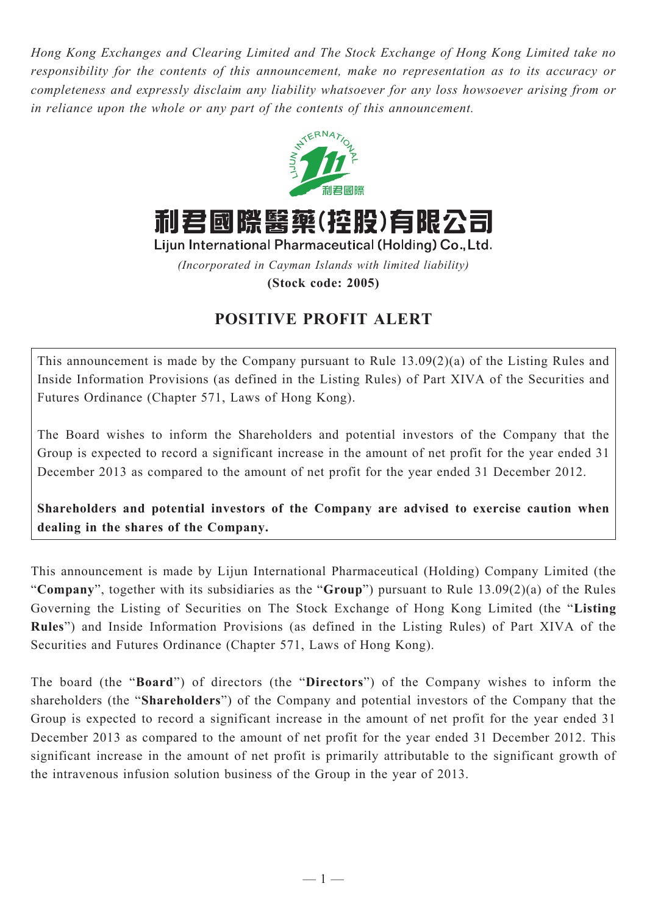*Hong Kong Exchanges and Clearing Limited and The Stock Exchange of Hong Kong Limited take no responsibility for the contents of this announcement, make no representation as to its accuracy or completeness and expressly disclaim any liability whatsoever for any loss howsoever arising from or in reliance upon the whole or any part of the contents of this announcement.*



利君國際醫藥(控股)有限公司

Lijun International Pharmaceutical (Holding) Co., Ltd.

*(Incorporated in Cayman Islands with limited liability)*

**(Stock code: 2005)**

## **POSITIVE PROFIT ALERT**

This announcement is made by the Company pursuant to Rule 13.09(2)(a) of the Listing Rules and Inside Information Provisions (as defined in the Listing Rules) of Part XIVA of the Securities and Futures Ordinance (Chapter 571, Laws of Hong Kong).

The Board wishes to inform the Shareholders and potential investors of the Company that the Group is expected to record a significant increase in the amount of net profit for the year ended 31 December 2013 as compared to the amount of net profit for the year ended 31 December 2012.

**Shareholders and potential investors of the Company are advised to exercise caution when dealing in the shares of the Company.**

This announcement is made by Lijun International Pharmaceutical (Holding) Company Limited (the "**Company**", together with its subsidiaries as the "**Group**") pursuant to Rule 13.09(2)(a) of the Rules Governing the Listing of Securities on The Stock Exchange of Hong Kong Limited (the "**Listing Rules**") and Inside Information Provisions (as defined in the Listing Rules) of Part XIVA of the Securities and Futures Ordinance (Chapter 571, Laws of Hong Kong).

The board (the "**Board**") of directors (the "**Directors**") of the Company wishes to inform the shareholders (the "**Shareholders**") of the Company and potential investors of the Company that the Group is expected to record a significant increase in the amount of net profit for the year ended 31 December 2013 as compared to the amount of net profit for the year ended 31 December 2012. This significant increase in the amount of net profit is primarily attributable to the significant growth of the intravenous infusion solution business of the Group in the year of 2013.